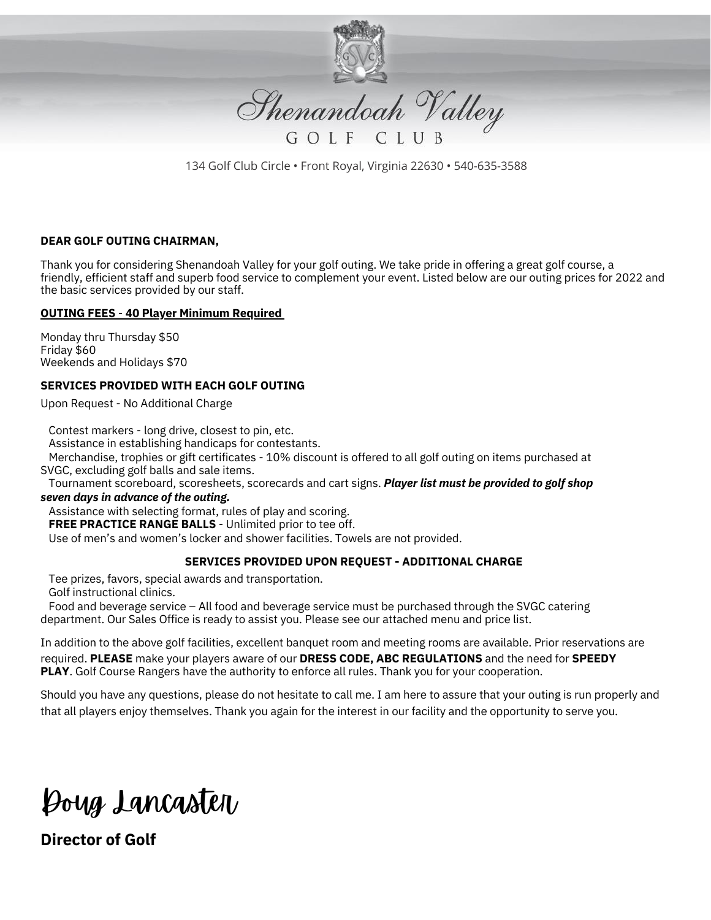

Shenandoah Valley

134 Golf Club Circle • Front Royal, Virginia 22630 • 540-635-3588

## **DEAR GOLF OUTING CHAIRMAN,**

Thank you for considering Shenandoah Valley for your golf outing. We take pride in offering a great golf course, a friendly, efficient staff and superb food service to complement your event. Listed below are our outing prices for 2022 and the basic services provided by our staff.

### **OUTING FEES** - **40 Player Minimum Required**

Monday thru Thursday \$50 Friday \$60 Weekends and Holidays \$70

## **SERVICES PROVIDED WITH EACH GOLF OUTING**

Upon Request - No Additional Charge

Contest markers - long drive, closest to pin, etc. Assistance in establishing handicaps for contestants. Merchandise, trophies or gift certificates - 10% discount is offered to all golf outing on items purchased at SVGC, excluding golf balls and sale items.

Tournament scoreboard, scoresheets, scorecards and cart signs. *Player list must be provided to golf shop*

# *seven days in advance of the outing.*

Assistance with selecting format, rules of play and scoring.

**FREE PRACTICE RANGE BALLS** - Unlimited prior to tee off.

Use of men's and women's locker and shower facilities. Towels are not provided.

## **SERVICES PROVIDED UPON REQUEST - ADDITIONAL CHARGE**

Tee prizes, favors, special awards and transportation.

Golf instructional clinics.

Food and beverage service – All food and beverage service must be purchased through the SVGC catering department. Our Sales Office is ready to assist you. Please see our attached menu and price list.

In addition to the above golf facilities, excellent banquet room and meeting rooms are available. Prior reservations are required. **PLEASE** make your players aware of our **DRESS CODE, ABC REGULATIONS** and the need for **SPEEDY PLAY**. Golf Course Rangers have the authority to enforce all rules. Thank you for your cooperation.

Should you have any questions, please do not hesitate to call me. I am here to assure that your outing is run properly and that all players enjoy themselves. Thank you again for the interest in our facility and the opportunity to serve you.

Doug Lancaster

**Director of Golf**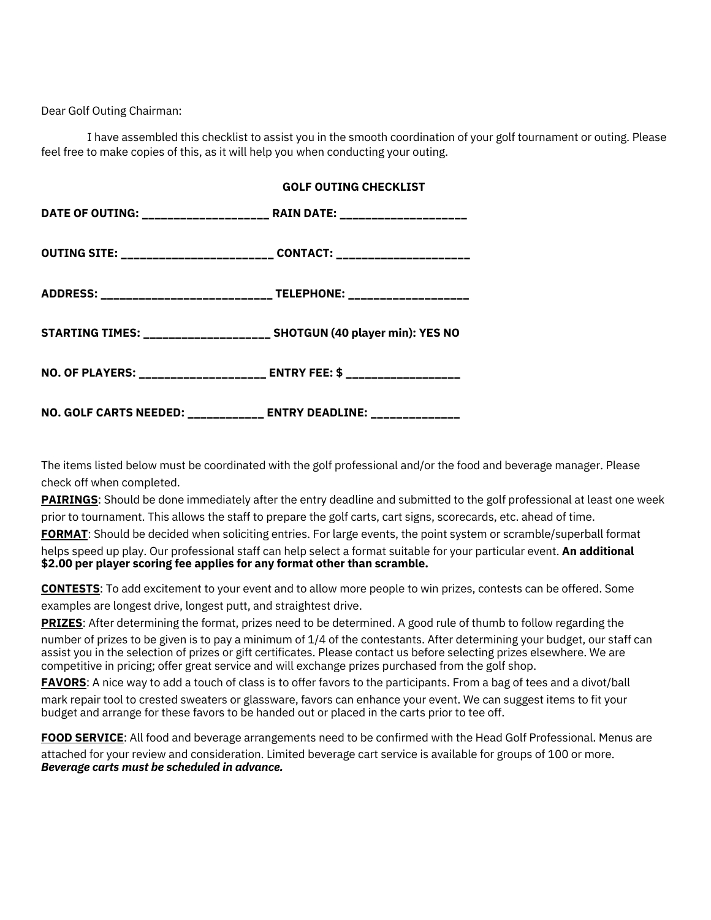Dear Golf Outing Chairman:

I have assembled this checklist to assist you in the smooth coordination of your golf tournament or outing. Please feel free to make copies of this, as it will help you when conducting your outing.

| DATE OF OUTING: ______________________ RAIN DATE: ____________________ |  |
|------------------------------------------------------------------------|--|
|                                                                        |  |
|                                                                        |  |
| STARTING TIMES: _____________________ SHOTGUN (40 player min): YES NO  |  |
| NO. OF PLAYERS: ____________________ ENTRY FEE: \$ _________________   |  |
| NO. GOLF CARTS NEEDED: ____________ ENTRY DEADLINE: ______________     |  |

The items listed below must be coordinated with the golf professional and/or the food and beverage manager. Please check off when completed.

**PAIRINGS**: Should be done immediately after the entry deadline and submitted to the golf professional at least one week prior to tournament. This allows the staff to prepare the golf carts, cart signs, scorecards, etc. ahead of time.

**FORMAT**: Should be decided when soliciting entries. For large events, the point system or scramble/superball format helps speed up play. Our professional staff can help select a format suitable for your particular event. **An additional \$2.00 per player scoring fee applies for any format other than scramble.**

**CONTESTS**: To add excitement to your event and to allow more people to win prizes, contests can be offered. Some examples are longest drive, longest putt, and straightest drive.

**PRIZES**: After determining the format, prizes need to be determined. A good rule of thumb to follow regarding the

number of prizes to be given is to pay a minimum of 1/4 of the contestants. After determining your budget, our staff can assist you in the selection of prizes or gift certificates. Please contact us before selecting prizes elsewhere. We are competitive in pricing; offer great service and will exchange prizes purchased from the golf shop.

**FAVORS**: A nice way to add a touch of class is to offer favors to the participants. From a bag of tees and a divot/ball

mark repair tool to crested sweaters or glassware, favors can enhance your event. We can suggest items to fit your budget and arrange for these favors to be handed out or placed in the carts prior to tee off.

**FOOD SERVICE**: All food and beverage arrangements need to be confirmed with the Head Golf Professional. Menus are attached for your review and consideration. Limited beverage cart service is available for groups of 100 or more. *Beverage carts must be scheduled in advance.*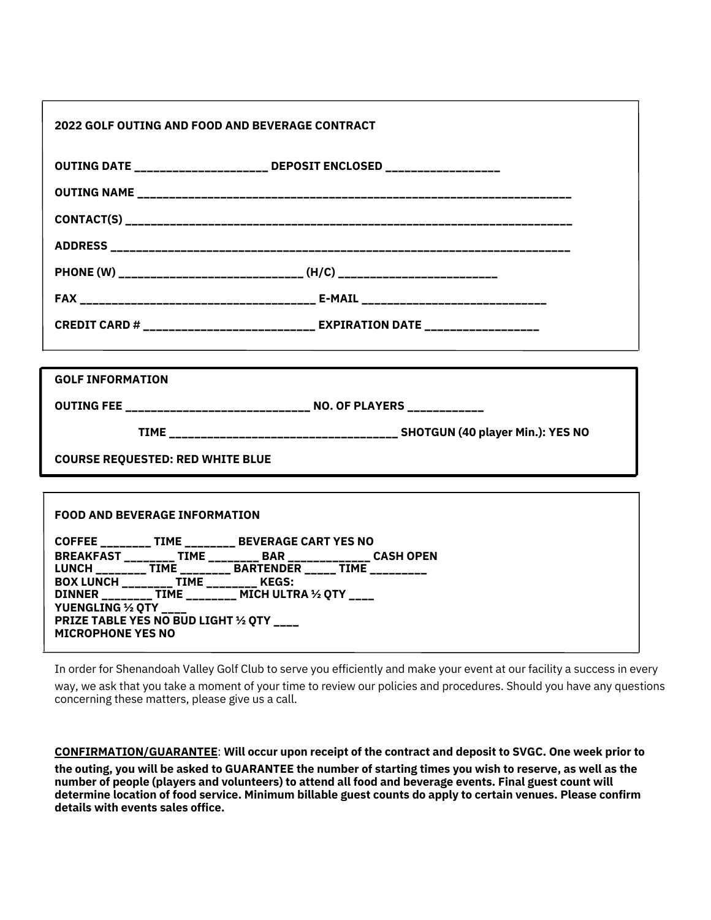| <b>2022 GOLF OUTING AND FOOD AND BEVERAGE CONTRACT</b>                                                                             |  |
|------------------------------------------------------------------------------------------------------------------------------------|--|
| OUTING DATE ____________________ DEPOSIT ENCLOSED _________________                                                                |  |
|                                                                                                                                    |  |
|                                                                                                                                    |  |
|                                                                                                                                    |  |
|                                                                                                                                    |  |
|                                                                                                                                    |  |
| CREDIT CARD # ___________________________ EXPIRATION DATE _____________________                                                    |  |
|                                                                                                                                    |  |
| <b>GOLF INFORMATION</b>                                                                                                            |  |
| OUTING FEE ______________________________ NO. OF PLAYERS ____________                                                              |  |
|                                                                                                                                    |  |
| <b>COURSE REQUESTED: RED WHITE BLUE</b>                                                                                            |  |
|                                                                                                                                    |  |
| <b>FOOD AND BEVERAGE INFORMATION</b>                                                                                               |  |
| COFFEE ________ TIME ________ BEVERAGE CART YES NO                                                                                 |  |
| BREAKFAST _________ TIME _________ BAR _______________ CASH OPEN<br>LUNCH _________ TIME _________ BARTENDER _____ TIME __________ |  |
| BOX LUNCH ________ TIME ________ KEGS:<br>DINNER ________ TIME ________ MICH ULTRA ½ QTY ____                                      |  |
| YUENGLING 1/2 QTY ___                                                                                                              |  |
| PRIZE TABLE YES NO BUD LIGHT 1/2 QTY ___<br><b>MICROPHONE YES NO</b>                                                               |  |
|                                                                                                                                    |  |

In order for Shenandoah Valley Golf Club to serve you efficiently and make your event at our facility a success in every way, we ask that you take a moment of your time to review our policies and procedures. Should you have any questions concerning these matters, please give us a call.

**CONFIRMATION/GUARANTEE**: **Will occur upon receipt of the contract and deposit to SVGC. One week prior to** the outing, you will be asked to GUARANTEE the number of starting times you wish to reserve, as well as the **number of people (players and volunteers) to attend all food and beverage events. Final guest count will determine location of food service. Minimum billable guest counts do apply to certain venues. Please confirm details with events sales office.**